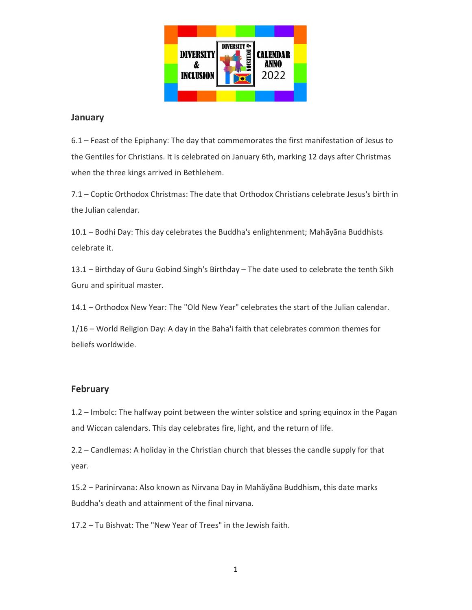

### **January**

6.1 – Feast of the Epiphany: The day that commemorates the first manifestation of Jesus to the Gentiles for Christians. It is celebrated on January 6th, marking 12 days after Christmas when the three kings arrived in Bethlehem.

7.1 – Coptic Orthodox Christmas: The date that Orthodox Christians celebrate Jesus's birth in the Julian calendar.

10.1 – Bodhi Day: This day celebrates the Buddha's enlightenment; Mahãyãna Buddhists celebrate it.

13.1 – Birthday of Guru Gobind Singh's Birthday – The date used to celebrate the tenth Sikh Guru and spiritual master.

14.1 – Orthodox New Year: The "Old New Year" celebrates the start of the Julian calendar.

1/16 – World Religion Day: A day in the Baha'i faith that celebrates common themes for beliefs worldwide.

### February

1.2 – Imbolc: The halfway point between the winter solstice and spring equinox in the Pagan and Wiccan calendars. This day celebrates fire, light, and the return of life.

2.2 – Candlemas: A holiday in the Christian church that blesses the candle supply for that year.

15.2 – Parinirvana: Also known as Nirvana Day in Mahãyãna Buddhism, this date marks Buddha's death and attainment of the final nirvana.

17.2 – Tu Bishvat: The "New Year of Trees" in the Jewish faith.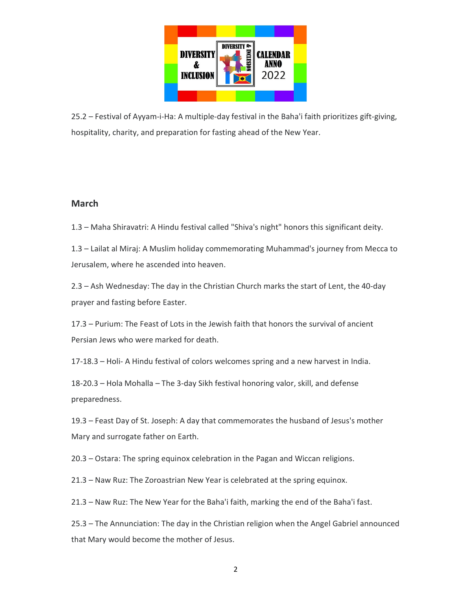

25.2 – Festival of Ayyam-i-Ha: A multiple-day festival in the Baha'i faith prioritizes gift-giving, hospitality, charity, and preparation for fasting ahead of the New Year.

## March

1.3 – Maha Shiravatri: A Hindu festival called "Shiva's night" honors this significant deity.

1.3 – Lailat al Miraj: A Muslim holiday commemorating Muhammad's journey from Mecca to Jerusalem, where he ascended into heaven.

2.3 – Ash Wednesday: The day in the Christian Church marks the start of Lent, the 40-day prayer and fasting before Easter.

17.3 – Purium: The Feast of Lots in the Jewish faith that honors the survival of ancient Persian Jews who were marked for death.

17-18.3 – Holi- A Hindu festival of colors welcomes spring and a new harvest in India.

18-20.3 – Hola Mohalla – The 3-day Sikh festival honoring valor, skill, and defense preparedness.

19.3 – Feast Day of St. Joseph: A day that commemorates the husband of Jesus's mother Mary and surrogate father on Earth.

20.3 – Ostara: The spring equinox celebration in the Pagan and Wiccan religions.

21.3 – Naw Ruz: The Zoroastrian New Year is celebrated at the spring equinox.

21.3 – Naw Ruz: The New Year for the Baha'i faith, marking the end of the Baha'i fast.

25.3 – The Annunciation: The day in the Christian religion when the Angel Gabriel announced that Mary would become the mother of Jesus.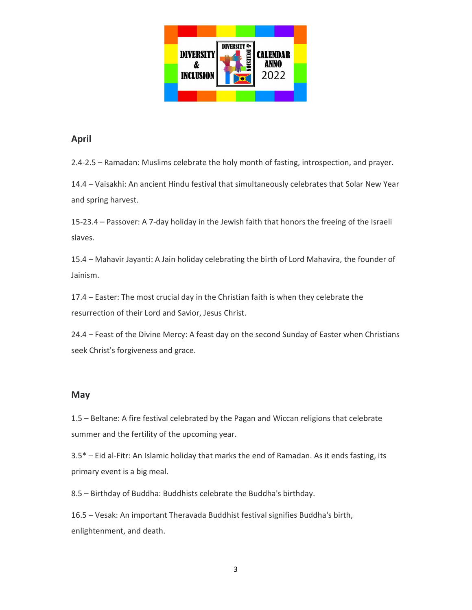

## April

2.4-2.5 – Ramadan: Muslims celebrate the holy month of fasting, introspection, and prayer.

14.4 – Vaisakhi: An ancient Hindu festival that simultaneously celebrates that Solar New Year and spring harvest.

15-23.4 – Passover: A 7-day holiday in the Jewish faith that honors the freeing of the Israeli slaves.

15.4 – Mahavir Jayanti: A Jain holiday celebrating the birth of Lord Mahavira, the founder of Jainism.

17.4 – Easter: The most crucial day in the Christian faith is when they celebrate the resurrection of their Lord and Savior, Jesus Christ.

24.4 – Feast of the Divine Mercy: A feast day on the second Sunday of Easter when Christians seek Christ's forgiveness and grace.

### May

1.5 – Beltane: A fire festival celebrated by the Pagan and Wiccan religions that celebrate summer and the fertility of the upcoming year.

3.5\* – Eid al-Fitr: An Islamic holiday that marks the end of Ramadan. As it ends fasting, its primary event is a big meal.

8.5 – Birthday of Buddha: Buddhists celebrate the Buddha's birthday.

16.5 – Vesak: An important Theravada Buddhist festival signifies Buddha's birth, enlightenment, and death.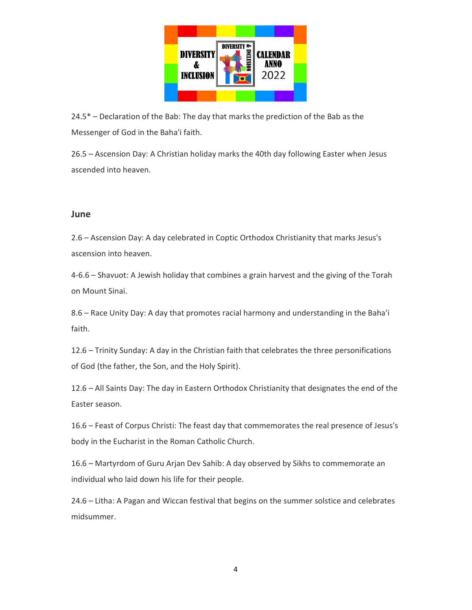

24.5\* – Declaration of the Bab: The day that marks the prediction of the Bab as the Messenger of God in the Baha'i faith.

26.5 – Ascension Day: A Christian holiday marks the 40th day following Easter when Jesus ascended into heaven.

#### June

2.6 – Ascension Day: A day celebrated in Coptic Orthodox Christianity that marks Jesus's ascension into heaven.

4-6.6 – Shavuot: A Jewish holiday that combines a grain harvest and the giving of the Torah on Mount Sinai.

8.6 – Race Unity Day: A day that promotes racial harmony and understanding in the Baha'i faith.

12.6 – Trinity Sunday: A day in the Christian faith that celebrates the three personifications of God (the father, the Son, and the Holy Spirit).

12.6 – All Saints Day: The day in Eastern Orthodox Christianity that designates the end of the Easter season.

16.6 – Feast of Corpus Christi: The feast day that commemorates the real presence of Jesus's body in the Eucharist in the Roman Catholic Church.

16.6 – Martyrdom of Guru Arjan Dev Sahib: A day observed by Sikhs to commemorate an individual who laid down his life for their people.

24.6 – Litha: A Pagan and Wiccan festival that begins on the summer solstice and celebrates midsummer.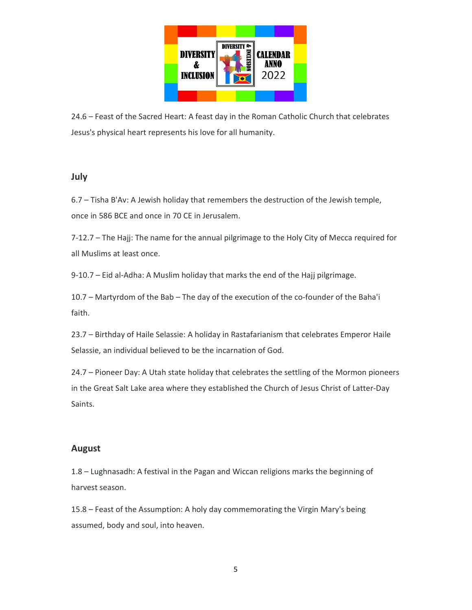

24.6 – Feast of the Sacred Heart: A feast day in the Roman Catholic Church that celebrates Jesus's physical heart represents his love for all humanity.

### July

6.7 – Tisha B'Av: A Jewish holiday that remembers the destruction of the Jewish temple, once in 586 BCE and once in 70 CE in Jerusalem.

7-12.7 – The Hajj: The name for the annual pilgrimage to the Holy City of Mecca required for all Muslims at least once.

9-10.7 – Eid al-Adha: A Muslim holiday that marks the end of the Hajj pilgrimage.

10.7 – Martyrdom of the Bab – The day of the execution of the co-founder of the Baha'i faith.

23.7 – Birthday of Haile Selassie: A holiday in Rastafarianism that celebrates Emperor Haile Selassie, an individual believed to be the incarnation of God.

24.7 – Pioneer Day: A Utah state holiday that celebrates the settling of the Mormon pioneers in the Great Salt Lake area where they established the Church of Jesus Christ of Latter-Day Saints.

### August

1.8 – Lughnasadh: A festival in the Pagan and Wiccan religions marks the beginning of harvest season.

15.8 – Feast of the Assumption: A holy day commemorating the Virgin Mary's being assumed, body and soul, into heaven.

5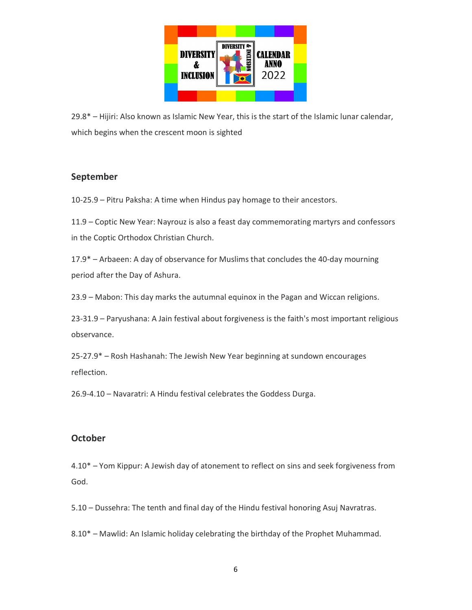

29.8\* – Hijiri: Also known as Islamic New Year, this is the start of the Islamic lunar calendar, which begins when the crescent moon is sighted

# September

10-25.9 – Pitru Paksha: A time when Hindus pay homage to their ancestors.

11.9 – Coptic New Year: Nayrouz is also a feast day commemorating martyrs and confessors in the Coptic Orthodox Christian Church.

17.9\* – Arbaeen: A day of observance for Muslims that concludes the 40-day mourning period after the Day of Ashura.

23.9 – Mabon: This day marks the autumnal equinox in the Pagan and Wiccan religions.

23-31.9 – Paryushana: A Jain festival about forgiveness is the faith's most important religious observance.

25-27.9\* – Rosh Hashanah: The Jewish New Year beginning at sundown encourages reflection.

26.9-4.10 – Navaratri: A Hindu festival celebrates the Goddess Durga.

## **October**

4.10\* – Yom Kippur: A Jewish day of atonement to reflect on sins and seek forgiveness from God.

5.10 – Dussehra: The tenth and final day of the Hindu festival honoring Asuj Navratras.

8.10\* – Mawlid: An Islamic holiday celebrating the birthday of the Prophet Muhammad.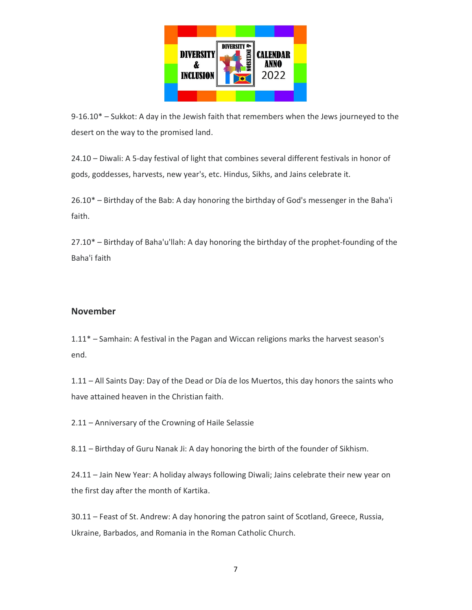

 $9-16.10^*$  – Sukkot: A day in the Jewish faith that remembers when the Jews journeyed to the desert on the way to the promised land.

24.10 – Diwali: A 5-day festival of light that combines several different festivals in honor of gods, goddesses, harvests, new year's, etc. Hindus, Sikhs, and Jains celebrate it.

26.10\* – Birthday of the Bab: A day honoring the birthday of God's messenger in the Baha'i faith.

27.10\* – Birthday of Baha'u'llah: A day honoring the birthday of the prophet-founding of the Baha'i faith

## November

1.11\* – Samhain: A festival in the Pagan and Wiccan religions marks the harvest season's end.

1.11 – All Saints Day: Day of the Dead or Día de los Muertos, this day honors the saints who have attained heaven in the Christian faith.

2.11 – Anniversary of the Crowning of Haile Selassie

8.11 – Birthday of Guru Nanak Ji: A day honoring the birth of the founder of Sikhism.

24.11 – Jain New Year: A holiday always following Diwali; Jains celebrate their new year on the first day after the month of Kartika.

30.11 – Feast of St. Andrew: A day honoring the patron saint of Scotland, Greece, Russia, Ukraine, Barbados, and Romania in the Roman Catholic Church.